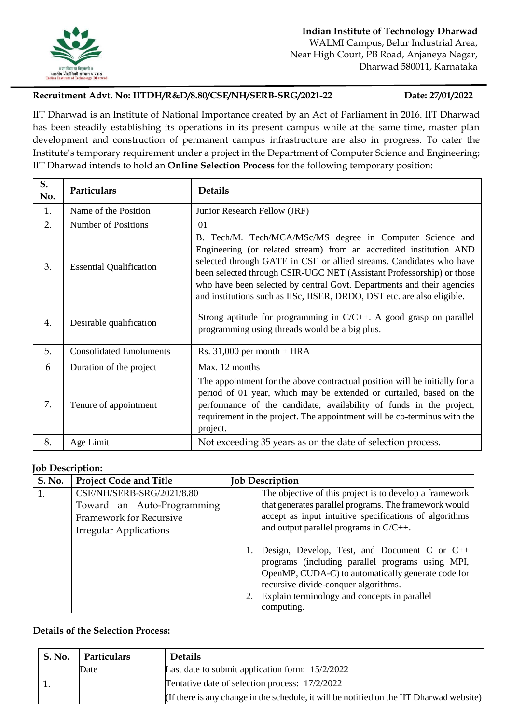

# **Recruitment Advt. No: IITDH/R&D/8.80/CSE/NH/SERB-SRG/2021-22 Date: 27/01/2022**

IIT Dharwad is an Institute of National Importance created by an Act of Parliament in 2016. IIT Dharwad has been steadily establishing its operations in its present campus while at the same time, master plan development and construction of permanent campus infrastructure are also in progress. To cater the Institute's temporary requirement under a project in the Department of Computer Science and Engineering; IIT Dharwad intends to hold an **Online Selection Process** for the following temporary position:

| S.<br>No. | Particulars                    | <b>Details</b>                                                                                                                                                                                                                                                                                                                                                                                                                       |
|-----------|--------------------------------|--------------------------------------------------------------------------------------------------------------------------------------------------------------------------------------------------------------------------------------------------------------------------------------------------------------------------------------------------------------------------------------------------------------------------------------|
| 1.        | Name of the Position           | Junior Research Fellow (JRF)                                                                                                                                                                                                                                                                                                                                                                                                         |
| 2.        | Number of Positions            | 01                                                                                                                                                                                                                                                                                                                                                                                                                                   |
| 3.        | <b>Essential Qualification</b> | B. Tech/M. Tech/MCA/MSc/MS degree in Computer Science and<br>Engineering (or related stream) from an accredited institution AND<br>selected through GATE in CSE or allied streams. Candidates who have<br>been selected through CSIR-UGC NET (Assistant Professorship) or those<br>who have been selected by central Govt. Departments and their agencies<br>and institutions such as IISc, IISER, DRDO, DST etc. are also eligible. |
| 4.        | Desirable qualification        | Strong aptitude for programming in $C/C++$ . A good grasp on parallel<br>programming using threads would be a big plus.                                                                                                                                                                                                                                                                                                              |
| 5.        | <b>Consolidated Emoluments</b> | Rs. $31,000$ per month + HRA                                                                                                                                                                                                                                                                                                                                                                                                         |
| 6         | Duration of the project        | Max. 12 months                                                                                                                                                                                                                                                                                                                                                                                                                       |
| 7.        | Tenure of appointment          | The appointment for the above contractual position will be initially for a<br>period of 01 year, which may be extended or curtailed, based on the<br>performance of the candidate, availability of funds in the project,<br>requirement in the project. The appointment will be co-terminus with the<br>project.                                                                                                                     |
| 8.        | Age Limit                      | Not exceeding 35 years as on the date of selection process.                                                                                                                                                                                                                                                                                                                                                                          |

### **Job Description:**

| <b>S. No.</b> | <b>Project Code and Title</b> | <b>Job Description</b>                                                                                                                                                                         |
|---------------|-------------------------------|------------------------------------------------------------------------------------------------------------------------------------------------------------------------------------------------|
|               | CSE/NH/SERB-SRG/2021/8.80     | The objective of this project is to develop a framework                                                                                                                                        |
|               | Toward an Auto-Programming    | that generates parallel programs. The framework would                                                                                                                                          |
|               | Framework for Recursive       | accept as input intuitive specifications of algorithms                                                                                                                                         |
|               | <b>Irregular Applications</b> | and output parallel programs in $C/C++$ .                                                                                                                                                      |
|               |                               | Design, Develop, Test, and Document C or C++<br>programs (including parallel programs using MPI,<br>OpenMP, CUDA-C) to automatically generate code for<br>recursive divide-conquer algorithms. |
|               |                               | Explain terminology and concepts in parallel<br>computing.                                                                                                                                     |

## **Details of the Selection Process:**

| <b>S. No.</b> | Particulars | <b>Details</b>                                                                           |
|---------------|-------------|------------------------------------------------------------------------------------------|
|               | Date        | Last date to submit application form: $15/2/2022$                                        |
|               |             | Tentative date of selection process: 17/2/2022                                           |
|               |             | (If there is any change in the schedule, it will be notified on the IIT Dharwad website) |